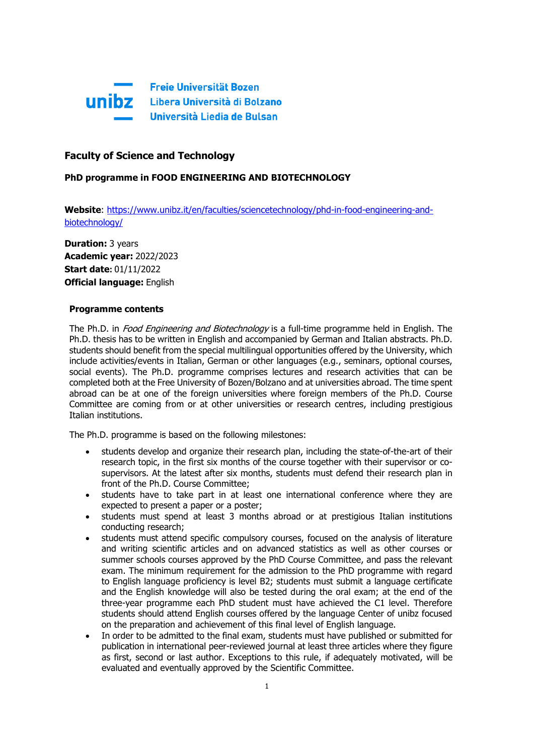

# **Faculty of Science and Technology**

## **PhD programme in FOOD ENGINEERING AND BIOTECHNOLOGY**

**Website**: [https://www.unibz.it/en/faculties/sciencetechnology/phd-in-food-engineering-and](https://www.unibz.it/en/faculties/sciencetechnology/phd-in-food-engineering-and-biotechnology/)[biotechnology/](https://www.unibz.it/en/faculties/sciencetechnology/phd-in-food-engineering-and-biotechnology/)

**Duration:** 3 years **Academic year:** 2022/2023 **Start date:** 01/11/2022 **Official language:** English

### **Programme contents**

The Ph.D. in *Food Engineering and Biotechnology* is a full-time programme held in English. The Ph.D. thesis has to be written in English and accompanied by German and Italian abstracts. Ph.D. students should benefit from the special multilingual opportunities offered by the University, which include activities/events in Italian, German or other languages (e.g., seminars, optional courses, social events). The Ph.D. programme comprises lectures and research activities that can be completed both at the Free University of Bozen/Bolzano and at universities abroad. The time spent abroad can be at one of the foreign universities where foreign members of the Ph.D. Course Committee are coming from or at other universities or research centres, including prestigious Italian institutions.

The Ph.D. programme is based on the following milestones:

- students develop and organize their research plan, including the state-of-the-art of their research topic, in the first six months of the course together with their supervisor or cosupervisors. At the latest after six months, students must defend their research plan in front of the Ph.D. Course Committee;
- students have to take part in at least one international conference where they are expected to present a paper or a poster;
- students must spend at least 3 months abroad or at prestigious Italian institutions conducting research;
- students must attend specific compulsory courses, focused on the analysis of literature and writing scientific articles and on advanced statistics as well as other courses or summer schools courses approved by the PhD Course Committee, and pass the relevant exam. The minimum requirement for the admission to the PhD programme with regard to English language proficiency is level B2; students must submit a language certificate and the English knowledge will also be tested during the oral exam; at the end of the three-year programme each PhD student must have achieved the C1 level. Therefore students should attend English courses offered by the language Center of unibz focused on the preparation and achievement of this final level of English language.
- In order to be admitted to the final exam, students must have published or submitted for publication in international peer-reviewed journal at least three articles where they figure as first, second or last author. Exceptions to this rule, if adequately motivated, will be evaluated and eventually approved by the Scientific Committee.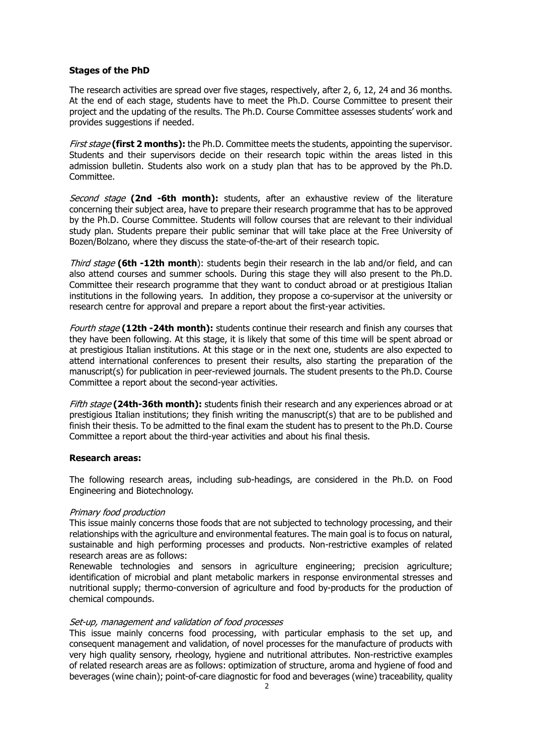## **Stages of the PhD**

The research activities are spread over five stages, respectively, after 2, 6, 12, 24 and 36 months. At the end of each stage, students have to meet the Ph.D. Course Committee to present their project and the updating of the results. The Ph.D. Course Committee assesses students' work and provides suggestions if needed.

First stage **(first 2 months):** the Ph.D. Committee meets the students, appointing the supervisor. Students and their supervisors decide on their research topic within the areas listed in this admission bulletin. Students also work on a study plan that has to be approved by the Ph.D. Committee.

Second stage **(2nd -6th month):** students, after an exhaustive review of the literature concerning their subject area, have to prepare their research programme that has to be approved by the Ph.D. Course Committee. Students will follow courses that are relevant to their individual study plan. Students prepare their public seminar that will take place at the Free University of Bozen/Bolzano, where they discuss the state-of-the-art of their research topic.

Third stage **(6th -12th month**): students begin their research in the lab and/or field, and can also attend courses and summer schools. During this stage they will also present to the Ph.D. Committee their research programme that they want to conduct abroad or at prestigious Italian institutions in the following years. In addition, they propose a co-supervisor at the university or research centre for approval and prepare a report about the first-year activities.

Fourth stage **(12th -24th month):** students continue their research and finish any courses that they have been following. At this stage, it is likely that some of this time will be spent abroad or at prestigious Italian institutions. At this stage or in the next one, students are also expected to attend international conferences to present their results, also starting the preparation of the manuscript(s) for publication in peer-reviewed journals. The student presents to the Ph.D. Course Committee a report about the second-year activities.

Fifth stage **(24th-36th month):** students finish their research and any experiences abroad or at prestigious Italian institutions; they finish writing the manuscript(s) that are to be published and finish their thesis. To be admitted to the final exam the student has to present to the Ph.D. Course Committee a report about the third-year activities and about his final thesis.

### **Research areas:**

The following research areas, including sub-headings, are considered in the Ph.D. on Food Engineering and Biotechnology.

### Primary food production

This issue mainly concerns those foods that are not subjected to technology processing, and their relationships with the agriculture and environmental features. The main goal is to focus on natural, sustainable and high performing processes and products. Non-restrictive examples of related research areas are as follows:

Renewable technologies and sensors in agriculture engineering; precision agriculture; identification of microbial and plant metabolic markers in response environmental stresses and nutritional supply; thermo-conversion of agriculture and food by-products for the production of chemical compounds.

### Set-up, management and validation of food processes

This issue mainly concerns food processing, with particular emphasis to the set up, and consequent management and validation, of novel processes for the manufacture of products with very high quality sensory, rheology, hygiene and nutritional attributes. Non-restrictive examples of related research areas are as follows: optimization of structure, aroma and hygiene of food and beverages (wine chain); point-of-care diagnostic for food and beverages (wine) traceability, quality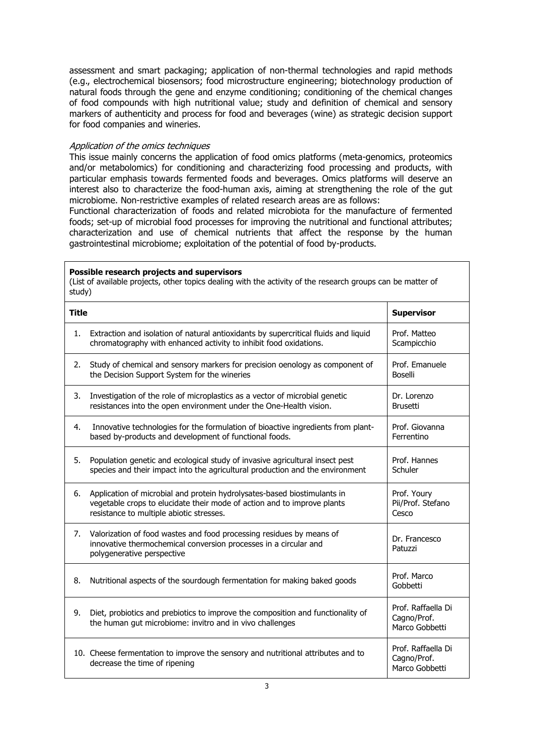assessment and smart packaging; application of non-thermal technologies and rapid methods (e.g., electrochemical biosensors; food microstructure engineering; biotechnology production of natural foods through the gene and enzyme conditioning; conditioning of the chemical changes of food compounds with high nutritional value; study and definition of chemical and sensory markers of authenticity and process for food and beverages (wine) as strategic decision support for food companies and wineries.

#### Application of the omics techniques

This issue mainly concerns the application of food omics platforms (meta-genomics, proteomics and/or metabolomics) for conditioning and characterizing food processing and products, with particular emphasis towards fermented foods and beverages. Omics platforms will deserve an interest also to characterize the food-human axis, aiming at strengthening the role of the gut microbiome. Non-restrictive examples of related research areas are as follows:

Functional characterization of foods and related microbiota for the manufacture of fermented foods; set-up of microbial food processes for improving the nutritional and functional attributes; characterization and use of chemical nutrients that affect the response by the human gastrointestinal microbiome; exploitation of the potential of food by-products.

#### **Possible research projects and supervisors**

(List of available projects, other topics dealing with the activity of the research groups can be matter of study)

| <b>Title</b> |                                                                                                                                                                                                 | <b>Supervisor</b>                                   |
|--------------|-------------------------------------------------------------------------------------------------------------------------------------------------------------------------------------------------|-----------------------------------------------------|
| 1.           | Extraction and isolation of natural antioxidants by supercritical fluids and liquid<br>chromatography with enhanced activity to inhibit food oxidations.                                        | Prof. Matteo<br>Scampicchio                         |
| 2.           | Study of chemical and sensory markers for precision oenology as component of<br>the Decision Support System for the wineries                                                                    | Prof. Emanuele<br><b>Boselli</b>                    |
| 3.           | Investigation of the role of microplastics as a vector of microbial genetic<br>resistances into the open environment under the One-Health vision.                                               | Dr. Lorenzo<br><b>Brusetti</b>                      |
| 4.           | Innovative technologies for the formulation of bioactive ingredients from plant-<br>based by-products and development of functional foods.                                                      | Prof. Giovanna<br>Ferrentino                        |
| 5.           | Population genetic and ecological study of invasive agricultural insect pest<br>species and their impact into the agricultural production and the environment                                   | Prof. Hannes<br>Schuler                             |
| 6.           | Application of microbial and protein hydrolysates-based biostimulants in<br>vegetable crops to elucidate their mode of action and to improve plants<br>resistance to multiple abiotic stresses. | Prof. Youry<br>Pii/Prof. Stefano<br>Cesco           |
| 7.           | Valorization of food wastes and food processing residues by means of<br>innovative thermochemical conversion processes in a circular and<br>polygenerative perspective                          | Dr. Francesco<br>Patuzzi                            |
| 8.           | Nutritional aspects of the sourdough fermentation for making baked goods                                                                                                                        | Prof. Marco<br>Gobbetti                             |
| 9.           | Diet, probiotics and prebiotics to improve the composition and functionality of<br>the human gut microbiome: invitro and in vivo challenges                                                     | Prof. Raffaella Di<br>Cagno/Prof.<br>Marco Gobbetti |
|              | 10. Cheese fermentation to improve the sensory and nutritional attributes and to<br>decrease the time of ripening                                                                               | Prof. Raffaella Di<br>Cagno/Prof.<br>Marco Gobbetti |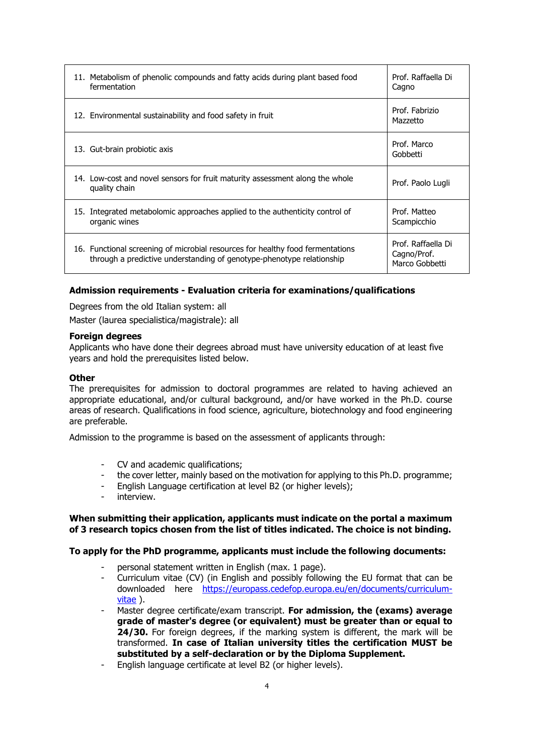| 11. Metabolism of phenolic compounds and fatty acids during plant based food<br>fermentation                                                            | Prof. Raffaella Di<br>Cagno                         |
|---------------------------------------------------------------------------------------------------------------------------------------------------------|-----------------------------------------------------|
| 12. Environmental sustainability and food safety in fruit                                                                                               | Prof. Fabrizio<br>Mazzetto                          |
| 13. Gut-brain probiotic axis                                                                                                                            | Prof. Marco<br>Gobbetti                             |
| 14. Low-cost and novel sensors for fruit maturity assessment along the whole<br>quality chain                                                           | Prof. Paolo Lugli                                   |
| Integrated metabolomic approaches applied to the authenticity control of<br>15.<br>organic wines                                                        | Prof. Matteo<br>Scampicchio                         |
| 16. Functional screening of microbial resources for healthy food fermentations<br>through a predictive understanding of genotype-phenotype relationship | Prof. Raffaella Di<br>Cagno/Prof.<br>Marco Gobbetti |

## **Admission requirements - Evaluation criteria for examinations/qualifications**

Degrees from the old Italian system: all

Master (laurea specialistica/magistrale): all

### **Foreign degrees**

Applicants who have done their degrees abroad must have university education of at least five years and hold the prerequisites listed below.

### **Other**

The prerequisites for admission to doctoral programmes are related to having achieved an appropriate educational, and/or cultural background, and/or have worked in the Ph.D. course areas of research. Qualifications in food science, agriculture, biotechnology and food engineering are preferable.

Admission to the programme is based on the assessment of applicants through:

- CV and academic qualifications;
- the cover letter, mainly based on the motivation for applying to this Ph.D. programme;
- English Language certification at level B2 (or higher levels);
- interview.

### **When submitting their application, applicants must indicate on the portal a maximum of 3 research topics chosen from the list of titles indicated. The choice is not binding.**

### **To apply for the PhD programme, applicants must include the following documents:**

- personal statement written in English (max. 1 page).
- Curriculum vitae (CV) (in English and possibly following the EU format that can be downloaded here [https://europass.cedefop.europa.eu/en/documents/curriculum](https://europass.cedefop.europa.eu/en/documents/curriculum-vitae)[vitae](https://europass.cedefop.europa.eu/en/documents/curriculum-vitae) ).
- Master degree certificate/exam transcript. **For admission, the (exams) average grade of master's degree (or equivalent) must be greater than or equal to 24/30.** For foreign degrees, if the marking system is different, the mark will be transformed. **In case of Italian university titles the certification MUST be substituted by a self-declaration or by the Diploma Supplement.**
- English language certificate at level B2 (or higher levels).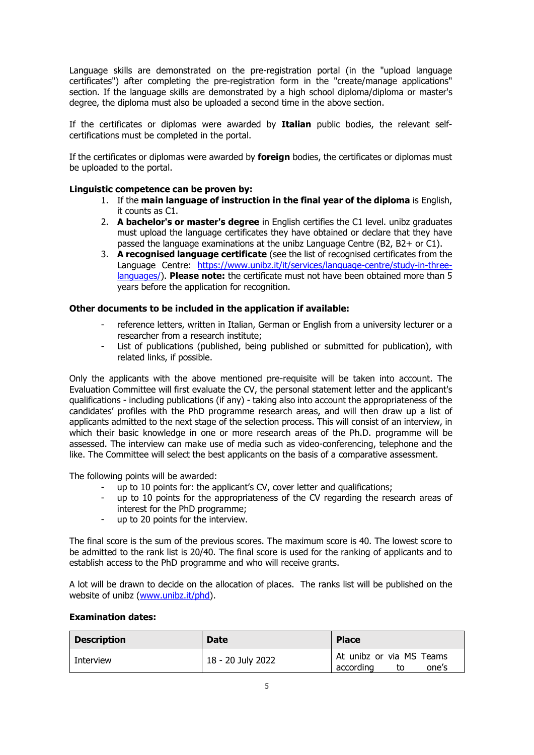Language skills are demonstrated on the pre-registration portal (in the "upload language certificates") after completing the pre-registration form in the "create/manage applications" section. If the language skills are demonstrated by a high school diploma/diploma or master's degree, the diploma must also be uploaded a second time in the above section.

If the certificates or diplomas were awarded by **Italian** public bodies, the relevant selfcertifications must be completed in the portal.

If the certificates or diplomas were awarded by **foreign** bodies, the certificates or diplomas must be uploaded to the portal.

## **Linguistic competence can be proven by:**

- 1. If the **main language of instruction in the final year of the diploma** is English, it counts as C1.
- 2. **A bachelor's or master's degree** in English certifies the C1 level. unibz graduates must upload the language certificates they have obtained or declare that they have passed the language examinations at the unibz Language Centre (B2, B2+ or C1).
- 3. **A recognised language certificate** (see the list of recognised certificates from the Language Centre: [https://www.unibz.it/it/services/language-centre/study-in-three](https://www.unibz.it/it/services/language-centre/study-in-three-languages/)[languages/\)](https://www.unibz.it/it/services/language-centre/study-in-three-languages/). **Please note:** the certificate must not have been obtained more than 5 years before the application for recognition.

## **Other documents to be included in the application if available:**

- reference letters, written in Italian, German or English from a university lecturer or a researcher from a research institute;
- List of publications (published, being published or submitted for publication), with related links, if possible.

Only the applicants with the above mentioned pre-requisite will be taken into account. The Evaluation Committee will first evaluate the CV, the personal statement letter and the applicant's qualifications - including publications (if any) - taking also into account the appropriateness of the candidates' profiles with the PhD programme research areas, and will then draw up a list of applicants admitted to the next stage of the selection process. This will consist of an interview, in which their basic knowledge in one or more research areas of the Ph.D. programme will be assessed. The interview can make use of media such as video-conferencing, telephone and the like. The Committee will select the best applicants on the basis of a comparative assessment.

The following points will be awarded:

- up to 10 points for: the applicant's CV, cover letter and qualifications;<br>- up to 10 points for the appropriateness of the CV regarding the res
- up to 10 points for the appropriateness of the CV regarding the research areas of interest for the PhD programme;
- up to 20 points for the interview.

The final score is the sum of the previous scores. The maximum score is 40. The lowest score to be admitted to the rank list is 20/40. The final score is used for the ranking of applicants and to establish access to the PhD programme and who will receive grants.

A lot will be drawn to decide on the allocation of places. The ranks list will be published on the website of unibz [\(www.unibz.it/phd\)](http://www.unibz.it/phd).

### **Examination dates:**

| <b>Description</b> | <b>Date</b>       | <b>Place</b>                                         |
|--------------------|-------------------|------------------------------------------------------|
| Interview          | 18 - 20 July 2022 | At unibz or via MS Teams<br>according<br>one's<br>to |